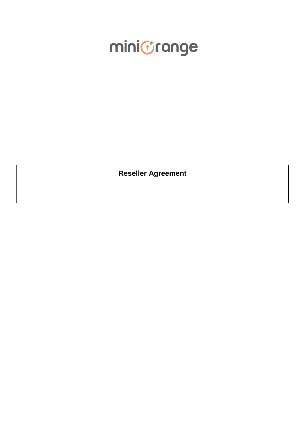# minictrange

**Reseller Agreement**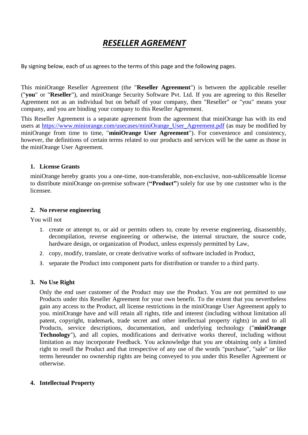# *RESELLER AGREMENT*

By signing below, each of us agrees to the terms of this page and the following pages.

This miniOrange Reseller Agreement (the "**Reseller Agreement**") is between the applicable reseller ("**you**" or "**Reseller**"), and miniOrange Security Software Pvt. Ltd. If you are agreeing to this Reseller Agreement not as an individual but on behalf of your company, then "Reseller" or "you" means your company, and you are binding your company to this Reseller Agreement.

This Reseller Agreement is a separate agreement from the agreement that miniOrange has with its end users at [https://www.miniorange.com/usecases/miniOrange\\_User\\_Agreement.pdf](https://www.miniorange.com/usecases/miniOrange_User_Agreement.pdf) (as may be modified by miniOrange from time to time, "**miniOrange User Agreement**"). For convenience and consistency, however, the definitions of certain terms related to our products and services will be the same as those in the miniOrange User Agreement.

### **1. License Grants**

miniOrange hereby grants you a one-time, non-transferable, non-exclusive, non-sublicensable license to distribute miniOrange on-premise software (**"Product"**) solely for use by one customer who is the licensee.

#### **2. No reverse engineering**

You will not

- 1. create or attempt to, or aid or permits others to, create by reverse engineering, disassembly, decompilation, reverse engineering or otherwise, the internal structure, the source code, hardware design, or organization of Product, unless expressly permitted by Law,
- 2. copy, modify, translate, or create derivative works of software included in Product,
- 3. separate the Product into component parts for distribution or transfer to a third party.

#### **3. No Use Right**

Only the end user customer of the Product may use the Product. You are not permitted to use Products under this Reseller Agreement for your own benefit. To the extent that you nevertheless gain any access to the Product, all license restrictions in the miniOrange User Agreement apply to you. miniOrange have and will retain all rights, title and interest (including without limitation all patent, copyright, trademark, trade secret and other intellectual property rights) in and to all Products, service descriptions, documentation, and underlying technology ("**miniOrange Technology**"), and all copies, modifications and derivative works thereof, including without limitation as may incorporate Feedback. You acknowledge that you are obtaining only a limited right to resell the Product and that irrespective of any use of the words "purchase", "sale" or like terms hereunder no ownership rights are being conveyed to you under this Reseller Agreement or otherwise.

## **4. Intellectual Property**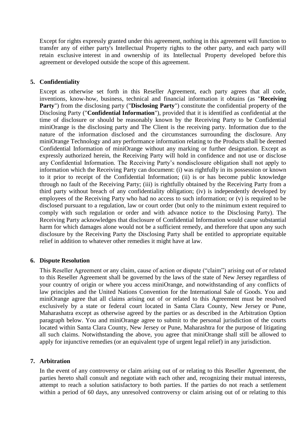Except for rights expressly granted under this agreement, nothing in this agreement will function to transfer any of either party's Intellectual Property rights to the other party, and each party will retain exclusive interest in and ownership of its Intellectual Property developed before this agreement or developed outside the scope of this agreement.

### **5. Confidentiality**

Except as otherwise set forth in this Reseller Agreement, each party agrees that all code, inventions, know-how, business, technical and financial information it obtains (as "**Receiving Party**") from the disclosing party ("**Disclosing Party**") constitute the confidential property of the Disclosing Party ("**Confidential Information**"), provided that it is identified as confidential at the time of disclosure or should be reasonably known by the Receiving Party to be Confidential miniOrange is the disclosing party and The Client is the receiving party. Information due to the nature of the information disclosed and the circumstances surrounding the disclosure. Any miniOrange Technology and any performance information relating to the Products shall be deemed Confidential Information of miniOrange without any marking or further designation. Except as expressly authorized herein, the Receiving Party will hold in confidence and not use or disclose any Confidential Information. The Receiving Party's nondisclosure obligation shall not apply to information which the Receiving Party can document: (i) was rightfully in its possession or known to it prior to receipt of the Confidential Information; (ii) is or has become public knowledge through no fault of the Receiving Party; (iii) is rightfully obtained by the Receiving Party from a third party without breach of any confidentiality obligation; (iv) is independently developed by employees of the Receiving Party who had no access to such information; or (v) is required to be disclosed pursuant to a regulation, law or court order (but only to the minimum extent required to comply with such regulation or order and with advance notice to the Disclosing Party). The Receiving Party acknowledges that disclosure of Confidential Information would cause substantial harm for which damages alone would not be a sufficient remedy, and therefore that upon any such disclosure by the Receiving Party the Disclosing Party shall be entitled to appropriate equitable relief in addition to whatever other remedies it might have at law.

#### **6. Dispute Resolution**

This Reseller Agreement or any claim, cause of action or dispute ("claim") arising out of or related to this Reseller Agreement shall be governed by the laws of the state of New Jersey regardless of your country of origin or where you access miniOrange, and notwithstanding of any conflicts of law principles and the United Nations Convention for the International Sale of Goods. You and miniOrange agree that all claims arising out of or related to this Agreement must be resolved exclusively by a state or federal court located in Santa Clara County, New Jersey or Pune, Maharashatra except as otherwise agreed by the parties or as described in the Arbitration Option paragraph below. You and miniOrange agree to submit to the personal jurisdiction of the courts located within Santa Clara County, New Jersey or Pune, Maharashtra for the purpose of litigating all such claims. Notwithstanding the above, you agree that miniOrange shall still be allowed to apply for injunctive remedies (or an equivalent type of urgent legal relief) in any jurisdiction.

#### **7. Arbitration**

In the event of any controversy or claim arising out of or relating to this Reseller Agreement, the parties hereto shall consult and negotiate with each other and, recognizing their mutual interests, attempt to reach a solution satisfactory to both parties. If the parties do not reach a settlement within a period of 60 days, any unresolved controversy or claim arising out of or relating to this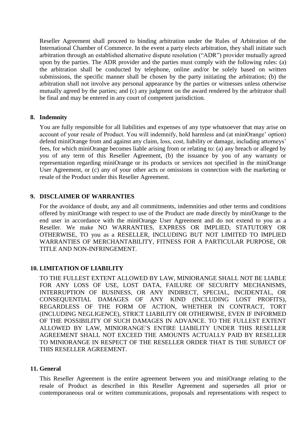Reseller Agreement shall proceed to binding arbitration under the Rules of Arbitration of the International Chamber of Commerce. In the event a party elects arbitration, they shall initiate such arbitration through an established alternative dispute resolution ("ADR") provider mutually agreed upon by the parties. The ADR provider and the parties must comply with the following rules: (a) the arbitration shall be conducted by telephone, online and/or be solely based on written submissions, the specific manner shall be chosen by the party initiating the arbitration; (b) the arbitration shall not involve any personal appearance by the parties or witnesses unless otherwise mutually agreed by the parties; and (c) any judgment on the award rendered by the arbitrator shall be final and may be entered in any court of competent jurisdiction.

#### **8. Indemnity**

You are fully responsible for all liabilities and expenses of any type whatsoever that may arise on account of your resale of Product. You will indemnify, hold harmless and (at miniOrange' option) defend miniOrange from and against any claim, loss, cost, liability or damage, including attorneys' fees, for which miniOrange becomes liable arising from or relating to: (a) any breach or alleged by you of any term of this Reseller Agreement, (b) the issuance by you of any warranty or representation regarding miniOrange or its products or services not specified in the miniOrange User Agreement, or (c) any of your other acts or omissions in connection with the marketing or resale of the Product under this Reseller Agreement.

#### **9. DISCLAIMER OF WARRANTIES**

For the avoidance of doubt, any and all commitments, indemnities and other terms and conditions offered by miniOrange with respect to use of the Product are made directly by miniOrange to the end user in accordance with the miniOrange User Agreement and do not extend to you as a Reseller. We make NO WARRANTIES, EXPRESS OR IMPLIED, STATUTORY OR OTHERWISE, TO you as a RESELLER, INCLUDING BUT NOT LIMITED TO IMPLIED WARRANTIES OF MERCHANTABILITY, FITNESS FOR A PARTICULAR PURPOSE, OR TITLE AND NON-INFRINGEMENT.

#### **10. LIMITATION OF LIABILITY**

TO THE FULLEST EXTENT ALLOWED BY LAW, MINIORANGE SHALL NOT BE LIABLE FOR ANY LOSS OF USE, LOST DATA, FAILURE OF SECURITY MECHANISMS, INTERRUPTION OF BUSINESS, OR ANY INDIRECT, SPECIAL, INCIDENTAL, OR CONSEQUENTIAL DAMAGES OF ANY KIND (INCLUDING LOST PROFITS), REGARDLESS OF THE FORM OF ACTION, WHETHER IN CONTRACT, TORT (INCLUDING NEGLIGENCE), STRICT LIABILITY OR OTHERWISE, EVEN IF INFORMED OF THE POSSIBILITY OF SUCH DAMAGES IN ADVANCE. TO THE FULLEST EXTENT ALLOWED BY LAW, MINIORANGE'S ENTIRE LIABILITY UNDER THIS RESELLER AGREEMENT SHALL NOT EXCEED THE AMOUNTS ACTUALLY PAID BY RESELLER TO MINIORANGE IN RESPECT OF THE RESELLER ORDER THAT IS THE SUBJECT OF THIS RESELLER AGREEMENT.

#### **11. General**

This Reseller Agreement is the entire agreement between you and miniOrange relating to the resale of Product as described in this Reseller Agreement and supersedes all prior or contemporaneous oral or written communications, proposals and representations with respect to